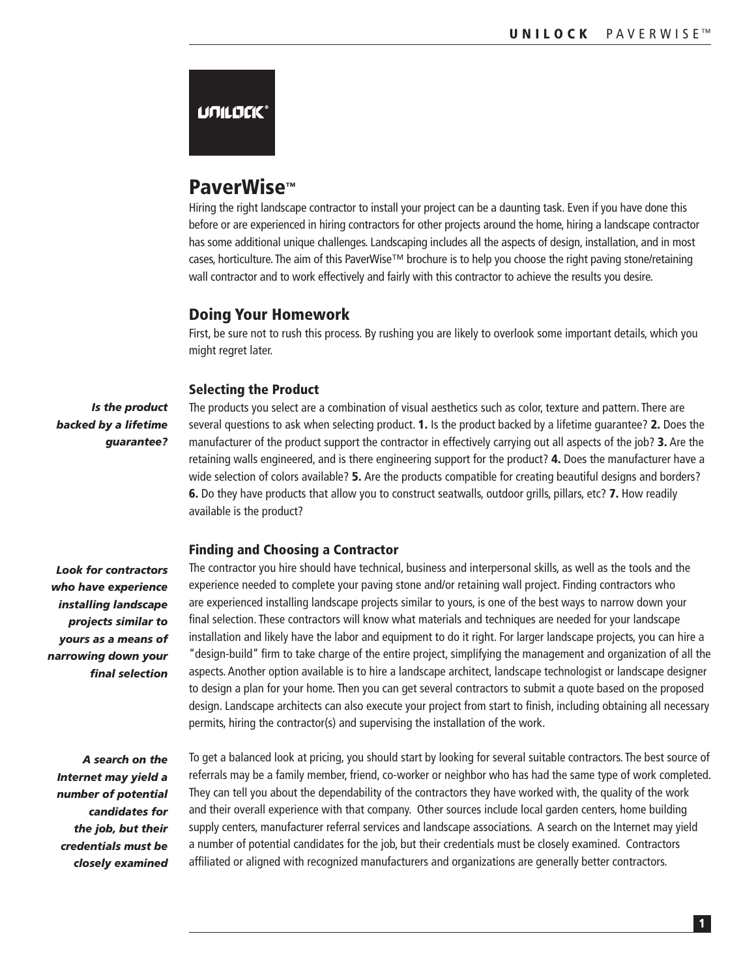# **UNILDEK®**

# PaverWise™

Hiring the right landscape contractor to install your project can be a daunting task. Even if you have done this before or are experienced in hiring contractors for other projects around the home, hiring a landscape contractor has some additional unique challenges. Landscaping includes all the aspects of design, installation, and in most cases, horticulture. The aim of this PaverWise™ brochure is to help you choose the right paving stone/retaining wall contractor and to work effectively and fairly with this contractor to achieve the results you desire.

## Doing Your Homework

First, be sure not to rush this process. By rushing you are likely to overlook some important details, which you might regret later.

#### Selecting the Product

*Is the product backed by a lifetime guarantee?*

The products you select are a combination of visual aesthetics such as color, texture and pattern. There are several questions to ask when selecting product. 1. Is the product backed by a lifetime guarantee? 2. Does the manufacturer of the product support the contractor in effectively carrying out all aspects of the job? 3. Are the retaining walls engineered, and is there engineering support for the product? 4. Does the manufacturer have a wide selection of colors available? **5.** Are the products compatible for creating beautiful designs and borders? 6. Do they have products that allow you to construct seatwalls, outdoor grills, pillars, etc? 7. How readily available is the product?

#### Finding and Choosing a Contractor

*Look for contractors who have experience installing landscape projects similar to yours as a means of narrowing down your final selection*

*A search on the Internet may yield a number of potential candidates for the job, but their credentials must be closely examined*

The contractor you hire should have technical, business and interpersonal skills, as well as the tools and the experience needed to complete your paving stone and/or retaining wall project. Finding contractors who are experienced installing landscape projects similar to yours, is one of the best ways to narrow down your final selection. These contractors will know what materials and techniques are needed for your landscape installation and likely have the labor and equipment to do it right. For larger landscape projects, you can hire a "design-build" firm to take charge of the entire project, simplifying the management and organization of all the aspects. Another option available is to hire a landscape architect, landscape technologist or landscape designer to design a plan for your home. Then you can get several contractors to submit a quote based on the proposed design. Landscape architects can also execute your project from start to finish, including obtaining all necessary permits, hiring the contractor(s) and supervising the installation of the work.

To get a balanced look at pricing, you should start by looking for several suitable contractors. The best source of referrals may be a family member, friend, co-worker or neighbor who has had the same type of work completed. They can tell you about the dependability of the contractors they have worked with, the quality of the work and their overall experience with that company. Other sources include local garden centers, home building supply centers, manufacturer referral services and landscape associations. A search on the Internet may yield a number of potential candidates for the job, but their credentials must be closely examined. Contractors affiliated or aligned with recognized manufacturers and organizations are generally better contractors.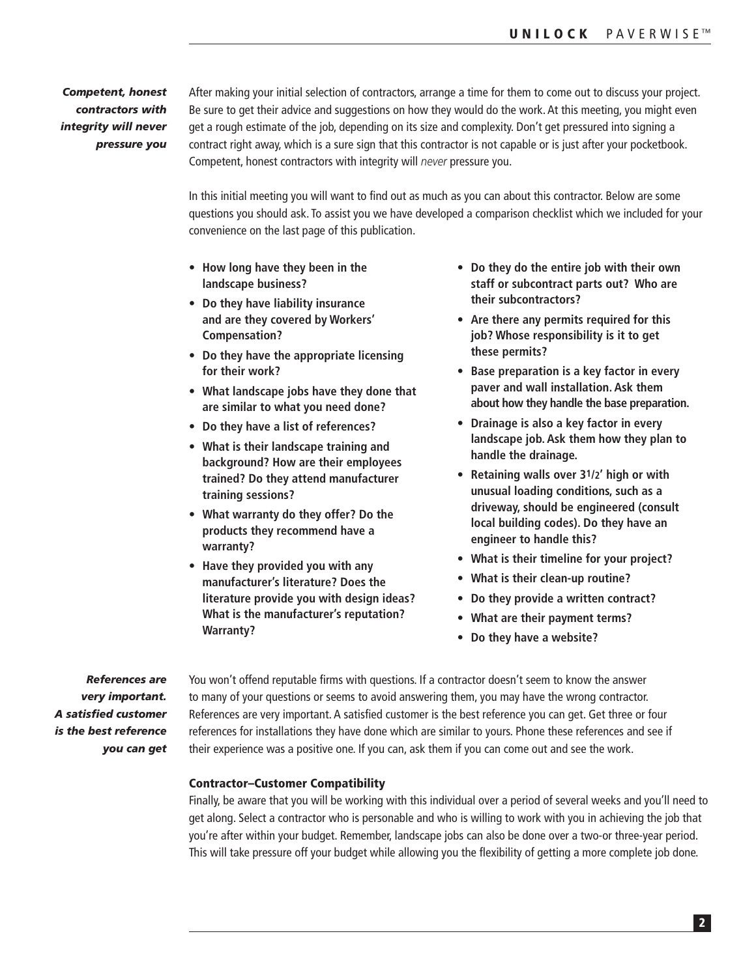*Competent, honest contractors with integrity will never pressure you* After making your initial selection of contractors, arrange a time for them to come out to discuss your project. Be sure to get their advice and suggestions on how they would do the work. At this meeting, you might even get a rough estimate of the job, depending on its size and complexity. Don't get pressured into signing a contract right away, which is a sure sign that this contractor is not capable or is just after your pocketbook. Competent, honest contractors with integrity will *never* pressure you.

In this initial meeting you will want to find out as much as you can about this contractor. Below are some questions you should ask. To assist you we have developed a comparison checklist which we included for your convenience on the last page of this publication.

- **• How long have they been in the landscape business?**
- **• Do they have liability insurance and are they covered by Workers' Compensation?**
- **• Do they have the appropriate licensing for their work?**
- **• What landscape jobs have they done that are similar to what you need done?**
- **• Do they have a list of references?**
- **• What is their landscape training and background? How are their employees trained? Do they attend manufacturer training sessions?**
- **• What warranty do they offer? Do the products they recommend have a warranty?**
- **• Have they provided you with any manufacturer's literature? Does the literature provide you with design ideas? What is the manufacturer's reputation? Warranty?**
- **• Do they do the entire job with their own staff or subcontract parts out? Who are their subcontractors?**
- **• Are there any permits required for this job? Whose responsibility is it to get these permits?**
- **• Base preparation is a key factor in every paver and wall installation. Ask them about how they handle the base preparation.**
- **• Drainage is also a key factor in every landscape job. Ask them how they plan to handle the drainage.**
- **• Retaining walls over 31/2' high or with unusual loading conditions, such as a driveway, should be engineered (consult local building codes). Do they have an engineer to handle this?**
- **• What is their timeline for your project?**
- **• What is their clean-up routine?**
- **• Do they provide a written contract?**
- **• What are their payment terms?**
- **• Do they have a website?**

*References are very important. A satisfied customer is the best reference you can get* You won't offend reputable firms with questions. If a contractor doesn't seem to know the answer to many of your questions or seems to avoid answering them, you may have the wrong contractor. References are very important. A satisfied customer is the best reference you can get. Get three or four references for installations they have done which are similar to yours. Phone these references and see if their experience was a positive one. If you can, ask them if you can come out and see the work.

### Contractor–Customer Compatibility

Finally, be aware that you will be working with this individual over a period of several weeks and you'll need to get along. Select a contractor who is personable and who is willing to work with you in achieving the job that you're after within your budget. Remember, landscape jobs can also be done over a two-or three-year period. This will take pressure off your budget while allowing you the flexibility of getting a more complete job done.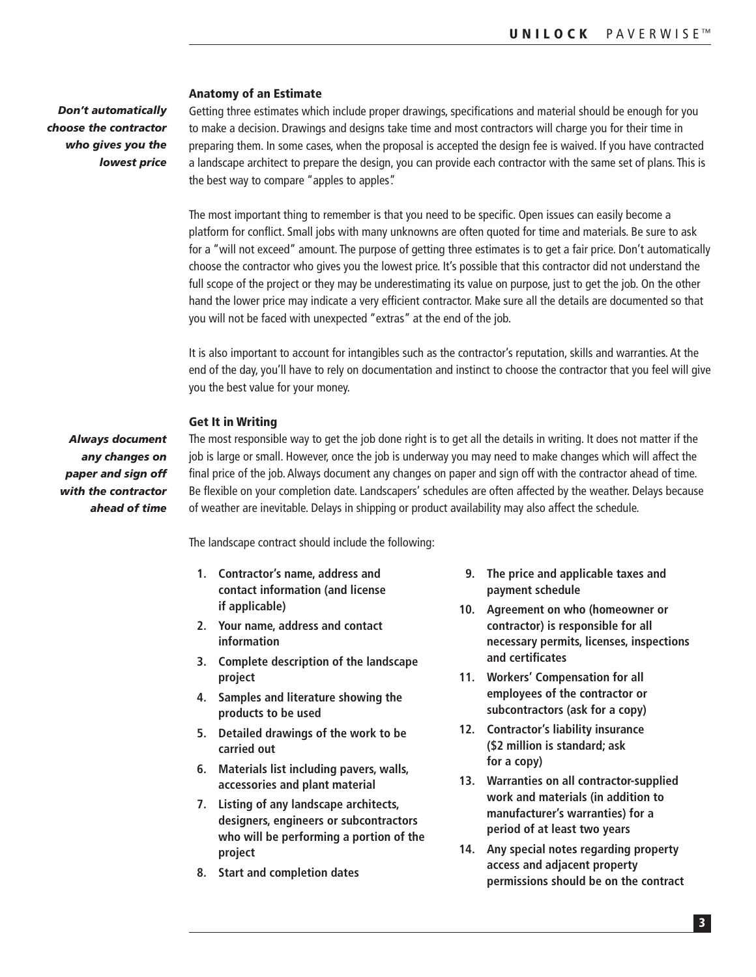*Don't automatically choose the contractor who gives you the lowest price*

#### Anatomy of an Estimate

Getting three estimates which include proper drawings, specifications and material should be enough for you to make a decision. Drawings and designs take time and most contractors will charge you for their time in preparing them. In some cases, when the proposal is accepted the design fee is waived. If you have contracted a landscape architect to prepare the design, you can provide each contractor with the same set of plans. This is the best way to compare "apples to apples".

The most important thing to remember is that you need to be specific. Open issues can easily become a platform for conflict. Small jobs with many unknowns are often quoted for time and materials. Be sure to ask for a "will not exceed" amount. The purpose of getting three estimates is to get a fair price. Don't automatically choose the contractor who gives you the lowest price. It's possible that this contractor did not understand the full scope of the project or they may be underestimating its value on purpose, just to get the job. On the other hand the lower price may indicate a very efficient contractor. Make sure all the details are documented so that you will not be faced with unexpected "extras" at the end of the job.

It is also important to account for intangibles such as the contractor's reputation, skills and warranties. At the end of the day, you'll have to rely on documentation and instinct to choose the contractor that you feel will give you the best value for your money.

#### Get It in Writing

*Always document any changes on paper and sign off with the contractor ahead of time* The most responsible way to get the job done right is to get all the details in writing. It does not matter if the job is large or small. However, once the job is underway you may need to make changes which will affect the final price of the job. Always document any changes on paper and sign off with the contractor ahead of time. Be flexible on your completion date. Landscapers' schedules are often affected by the weather. Delays because of weather are inevitable. Delays in shipping or product availability may also affect the schedule.

The landscape contract should include the following:

- **1. Contractor's name, address and contact information (and license if applicable)**
- **2. Your name, address and contact information**
- **3. Complete description of the landscape project**
- **4. Samples and literature showing the products to be used**
- **5. Detailed drawings of the work to be carried out**
- **6. Materials list including pavers, walls, accessories and plant material**
- **7. Listing of any landscape architects, designers, engineers or subcontractors who will be performing a portion of the project**
- **8. Start and completion dates**
- **9. The price and applicable taxes and payment schedule**
- **10. Agreement on who (homeowner or contractor) is responsible for all necessary permits, licenses, inspections and certificates**
- **11. Workers' Compensation for all employees of the contractor or subcontractors (ask for a copy)**
- **12. Contractor's liability insurance (\$2 million is standard; ask for a copy)**
- **13. Warranties on all contractor-supplied work and materials (in addition to manufacturer's warranties) for a period of at least two years**
- **14. Any special notes regarding property access and adjacent property permissions should be on the contract**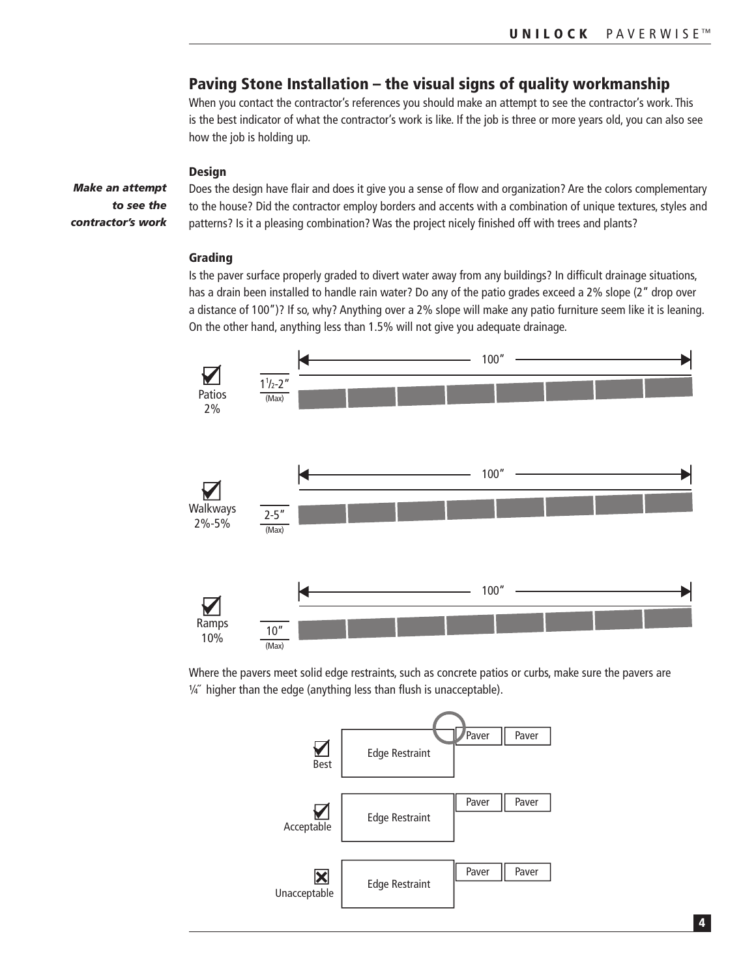# Paving Stone Installation – the visual signs of quality workmanship

When you contact the contractor's references you should make an attempt to see the contractor's work. This is the best indicator of what the contractor's work is like. If the job is three or more years old, you can also see how the job is holding up.

#### **Design**

*Make an attempt to see the contractor's work* Does the design have flair and does it give you a sense of flow and organization? Are the colors complementary to the house? Did the contractor employ borders and accents with a combination of unique textures, styles and patterns? Is it a pleasing combination? Was the project nicely finished off with trees and plants?

#### Grading

Is the paver surface properly graded to divert water away from any buildings? In difficult drainage situations, has a drain been installed to handle rain water? Do any of the patio grades exceed a 2% slope (2" drop over a distance of 100")? If so, why? Anything over a 2% slope will make any patio furniture seem like it is leaning. On the other hand, anything less than 1.5% will not give you adequate drainage.



Where the pavers meet solid edge restraints, such as concrete patios or curbs, make sure the pavers are  $\frac{1}{4}$ " higher than the edge (anything less than flush is unacceptable).

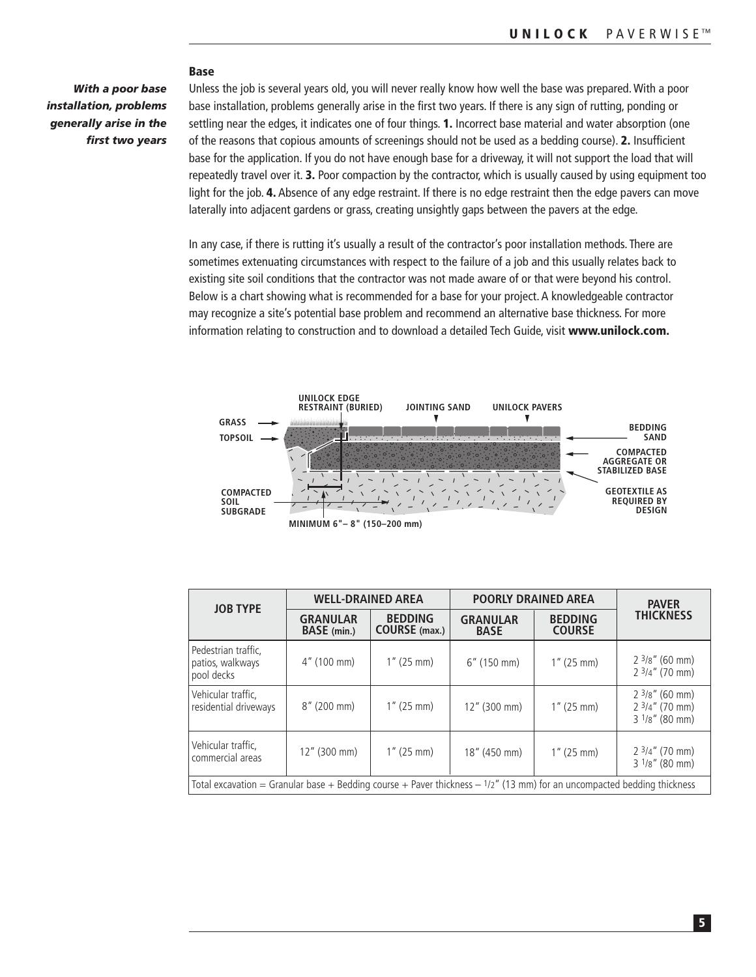#### Base

*With a poor base installation, problems generally arise in the first two years*

Unless the job is several years old, you will never really know how well the base was prepared. With a poor base installation, problems generally arise in the first two years. If there is any sign of rutting, ponding or settling near the edges, it indicates one of four things. 1. Incorrect base material and water absorption (one of the reasons that copious amounts of screenings should not be used as a bedding course). 2. Insufficient base for the application. If you do not have enough base for a driveway, it will not support the load that will repeatedly travel over it. 3. Poor compaction by the contractor, which is usually caused by using equipment too light for the job. 4. Absence of any edge restraint. If there is no edge restraint then the edge pavers can move laterally into adjacent gardens or grass, creating unsightly gaps between the pavers at the edge.

In any case, if there is rutting it's usually a result of the contractor's poor installation methods. There are sometimes extenuating circumstances with respect to the failure of a job and this usually relates back to existing site soil conditions that the contractor was not made aware of or that were beyond his control. Below is a chart showing what is recommended for a base for your project. A knowledgeable contractor may recognize a site's potential base problem and recommend an alternative base thickness. For more information relating to construction and to download a detailed Tech Guide, visit www.unilock.com.



| <b>JOB TYPE</b>                                                                                                           | <b>WELL-DRAINED AREA</b>              |                                        | <b>POORLY DRAINED AREA</b>     | <b>PAVER</b>                    |                                                                          |  |  |  |
|---------------------------------------------------------------------------------------------------------------------------|---------------------------------------|----------------------------------------|--------------------------------|---------------------------------|--------------------------------------------------------------------------|--|--|--|
|                                                                                                                           | <b>GRANULAR</b><br><b>BASE</b> (min.) | <b>BEDDING</b><br><b>COURSE</b> (max.) | <b>GRANULAR</b><br><b>BASE</b> | <b>BEDDING</b><br><b>COURSE</b> | <b>THICKNESS</b>                                                         |  |  |  |
| Pedestrian traffic.<br>patios, walkways<br>pool decks                                                                     | $4''$ (100 mm)                        | $1''$ (25 mm)                          | $6''$ (150 mm)                 | $1''$ (25 mm)                   | $2\frac{3}{8}$ " (60 mm)<br>$23/4''$ (70 mm)                             |  |  |  |
| Vehicular traffic.<br>residential driveways                                                                               | $8''$ (200 mm)                        | $1''$ (25 mm)                          | 12" (300 mm)                   | $1''$ (25 mm)                   | $2\frac{3}{8}$ " (60 mm)<br>$23/4''$ (70 mm)<br>$3\frac{1}{8}$ " (80 mm) |  |  |  |
| Vehicular traffic,<br>commercial areas                                                                                    | $12''$ (300 mm)                       | $1''$ (25 mm)                          | 18" (450 mm)                   | $1''$ (25 mm)                   | $23/4''$ (70 mm)<br>$31/8''$ (80 mm)                                     |  |  |  |
| Total excavation = Granular base + Bedding course + Paver thickness $-1/2$ " (13 mm) for an uncompacted bedding thickness |                                       |                                        |                                |                                 |                                                                          |  |  |  |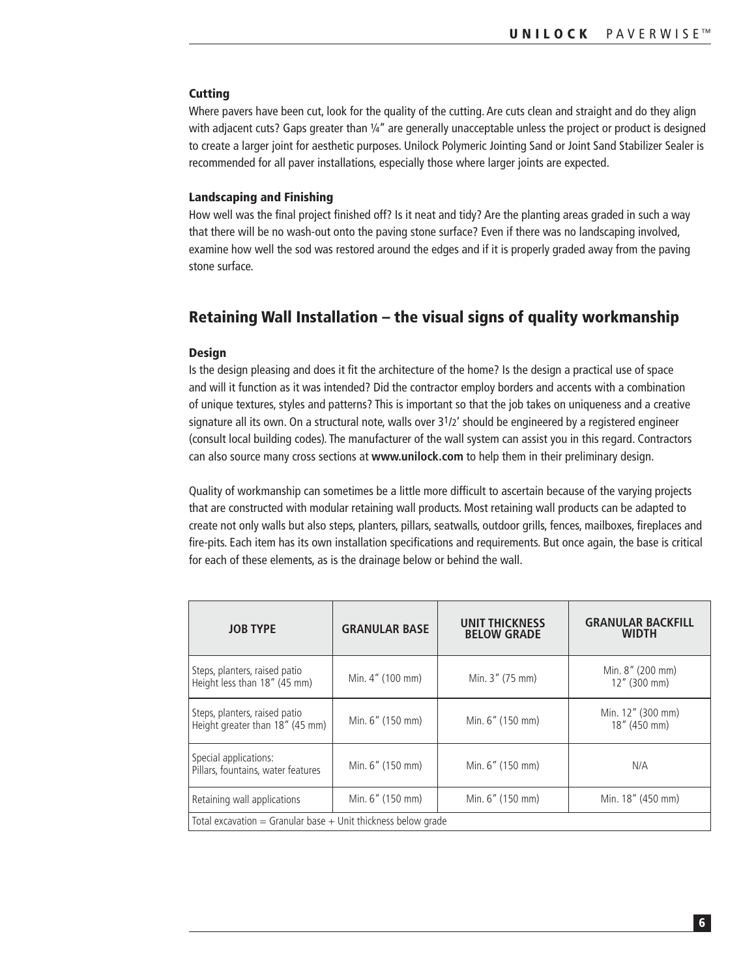### **Cutting**

Where pavers have been cut, look for the quality of the cutting. Are cuts clean and straight and do they align with adjacent cuts? Gaps greater than 1/4" are generally unacceptable unless the project or product is designed to create a larger joint for aesthetic purposes. Unilock Polymeric Jointing Sand or Joint Sand Stabilizer Sealer is recommended for all paver installations, especially those where larger joints are expected.

#### Landscaping and Finishing

How well was the final project finished off? Is it neat and tidy? Are the planting areas graded in such a way that there will be no wash-out onto the paving stone surface? Even if there was no landscaping involved, examine how well the sod was restored around the edges and if it is properly graded away from the paving stone surface.

# Retaining Wall Installation – the visual signs of quality workmanship

### Design

Is the design pleasing and does it fit the architecture of the home? Is the design a practical use of space and will it function as it was intended? Did the contractor employ borders and accents with a combination of unique textures, styles and patterns? This is important so that the job takes on uniqueness and a creative signature all its own. On a structural note, walls over  $3^{1}/2'$  should be engineered by a registered engineer (consult local building codes). The manufacturer of the wall system can assist you in this regard. Contractors can also source many cross sections at **www.unilock.com** to help them in their preliminary design.

Quality of workmanship can sometimes be a little more difficult to ascertain because of the varying projects that are constructed with modular retaining wall products. Most retaining wall products can be adapted to create not only walls but also steps, planters, pillars, seatwalls, outdoor grills, fences, mailboxes, fireplaces and fire-pits. Each item has its own installation specifications and requirements. But once again, the base is critical for each of these elements, as is the drainage below or behind the wall.

| <b>JOB TYPE</b>                                                   | <b>GRANULAR BASE</b>                 | <b>UNIT THICKNESS</b><br><b>BELOW GRADE</b> | <b>GRANULAR BACKFILL</b><br><b>WIDTH</b> |  |  |  |  |
|-------------------------------------------------------------------|--------------------------------------|---------------------------------------------|------------------------------------------|--|--|--|--|
| Steps, planters, raised patio<br>Height less than 18" (45 mm)     | Min. 4" (100 mm)                     | Min. 3" (75 mm)                             | Min. 8" (200 mm)<br>12" (300 mm)         |  |  |  |  |
| Steps, planters, raised patio<br>Height greater than 18" (45 mm)  | Min. 6" (150 mm)                     | Min. 6" (150 mm)                            | Min. 12" (300 mm)<br>18" (450 mm)        |  |  |  |  |
| Special applications:<br>Pillars, fountains, water features       | Min. 6" (150 mm)<br>Min. 6" (150 mm) |                                             | N/A                                      |  |  |  |  |
| Retaining wall applications                                       | Min. 6" (150 mm)                     | Min. 6" (150 mm)                            | Min. 18" (450 mm)                        |  |  |  |  |
| Total excavation $=$ Granular base $+$ Unit thickness below grade |                                      |                                             |                                          |  |  |  |  |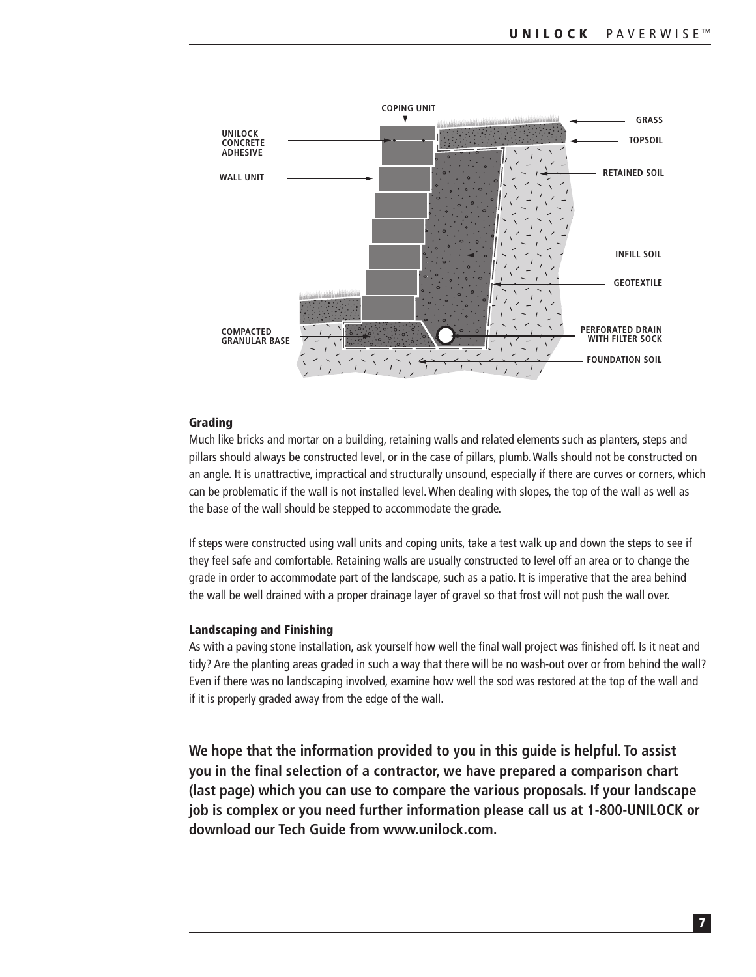

### Grading

Much like bricks and mortar on a building, retaining walls and related elements such as planters, steps and pillars should always be constructed level, or in the case of pillars, plumb. Walls should not be constructed on an angle. It is unattractive, impractical and structurally unsound, especially if there are curves or corners, which can be problematic if the wall is not installed level. When dealing with slopes, the top of the wall as well as the base of the wall should be stepped to accommodate the grade.

If steps were constructed using wall units and coping units, take a test walk up and down the steps to see if they feel safe and comfortable. Retaining walls are usually constructed to level off an area or to change the grade in order to accommodate part of the landscape, such as a patio. It is imperative that the area behind the wall be well drained with a proper drainage layer of gravel so that frost will not push the wall over.

### Landscaping and Finishing

As with a paving stone installation, ask yourself how well the final wall project was finished off. Is it neat and tidy? Are the planting areas graded in such a way that there will be no wash-out over or from behind the wall? Even if there was no landscaping involved, examine how well the sod was restored at the top of the wall and if it is properly graded away from the edge of the wall.

**We hope that the information provided to you in this guide is helpful. To assist you in the final selection of a contractor, we have prepared a comparison chart (last page) which you can use to compare the various proposals. If your landscape job is complex or you need further information please call us at 1-800-UNILOCK or download our Tech Guide from www.unilock.com.**